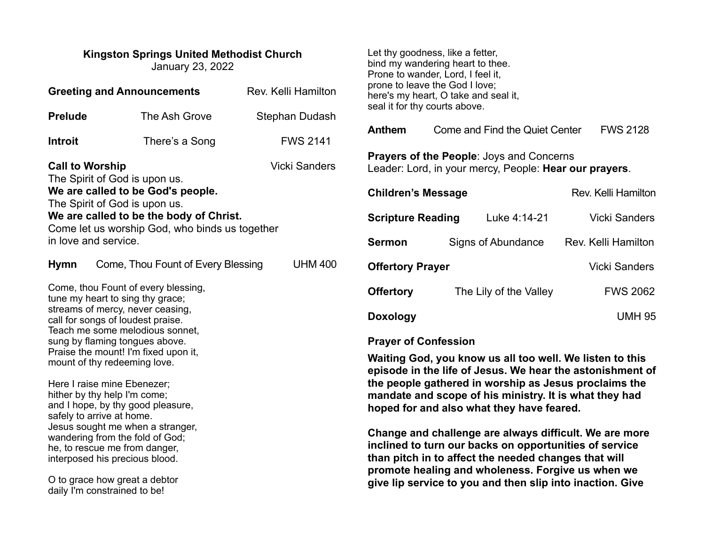#### **Kingston Springs United Methodist Church**  January 23, 2022

O to grace how great a debtor daily I'm constrained to be!

Let thy goodness, like a fetter, bind my wandering heart to thee. Prone to wander, Lord, I feel it, prone to leave the God I love; here's my heart, O take and seal it, seal it for thy courts above.

| Anthem | Come and Find the Quiet Center | <b>FWS 2128</b> |
|--------|--------------------------------|-----------------|
|        |                                |                 |

**Prayers of the People**: Joys and Concerns Leader: Lord, in your mercy, People: **Hear our prayers**.

| <b>Children's Message</b> |  |                        | Rev. Kelli Hamilton |
|---------------------------|--|------------------------|---------------------|
| <b>Scripture Reading</b>  |  | Luke 4:14-21           | Vicki Sanders       |
| <b>Sermon</b>             |  | Signs of Abundance     | Rev. Kelli Hamilton |
| <b>Offertory Prayer</b>   |  |                        | Vicki Sanders       |
| <b>Offertory</b>          |  | The Lily of the Valley | <b>FWS 2062</b>     |
| Doxology                  |  |                        | <b>UMH 95</b>       |

# **Prayer of Confession**

**Waiting God, you know us all too well. We listen to this episode in the life of Jesus. We hear the astonishment of the people gathered in worship as Jesus proclaims the mandate and scope of his ministry. It is what they had hoped for and also what they have feared.**

**Change and challenge are always difficult. We are more inclined to turn our backs on opportunities of service than pitch in to affect the needed changes that will promote healing and wholeness. Forgive us when we give lip service to you and then slip into inaction. Give**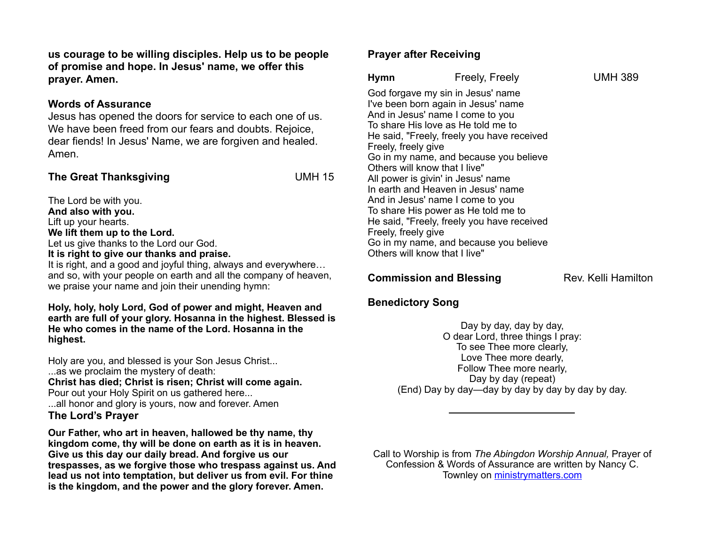**us courage to be willing disciples. Help us to be people of promise and hope. In Jesus' name, we offer this prayer. Amen.** 

#### **Words of Assurance**

Jesus has opened the doors for service to each one of us. We have been freed from our fears and doubts. Rejoice, dear fiends! In Jesus' Name, we are forgiven and healed. Amen.

## **The Great Thanksgiving COMMIT COMMIT COMMIT COMMIT COMMIT COMMIT COMMIT COMMIT COMMIT COMMIT COMMIT COMMIT COMMIT COMMIT COMMIT COMMIT COMMIT COMMIT COMMIT COMMIT COMMIT COMMIT COMMIT COMMIT COMMIT COMMIT COMMIT COMMIT CO**

The Lord be with you. **And also with you.**  Lift up your hearts. **We lift them up to the Lord.**  Let us give thanks to the Lord our God. **It is right to give our thanks and praise.**  It is right, and a good and joyful thing, always and everywhere…

and so, with your people on earth and all the company of heaven, we praise your name and join their unending hymn:

#### **Holy, holy, holy Lord, God of power and might, Heaven and earth are full of your glory. Hosanna in the highest. Blessed is He who comes in the name of the Lord. Hosanna in the highest.**

Holy are you, and blessed is your Son Jesus Christ... ...as we proclaim the mystery of death: **Christ has died; Christ is risen; Christ will come again.**  Pour out your Holy Spirit on us gathered here... ...all honor and glory is yours, now and forever. Amen **The Lord's Prayer** 

**Our Father, who art in heaven, hallowed be thy name, thy kingdom come, thy will be done on earth as it is in heaven. Give us this day our daily bread. And forgive us our trespasses, as we forgive those who trespass against us. And lead us not into temptation, but deliver us from evil. For thine is the kingdom, and the power and the glory forever. Amen.** 

## **Prayer after Receiving**

| Hymn                                                                                                         | Freely, Freely                                                                                                                                                                                                                                                                                                                                                                                                                                                                            | <b>UMH 389</b> |
|--------------------------------------------------------------------------------------------------------------|-------------------------------------------------------------------------------------------------------------------------------------------------------------------------------------------------------------------------------------------------------------------------------------------------------------------------------------------------------------------------------------------------------------------------------------------------------------------------------------------|----------------|
| Freely, freely give<br>Others will know that I live"<br>Freely, freely give<br>Others will know that I live" | God forgave my sin in Jesus' name<br>I've been born again in Jesus' name<br>And in Jesus' name I come to you<br>To share His love as He told me to<br>He said, "Freely, freely you have received<br>Go in my name, and because you believe<br>All power is givin' in Jesus' name<br>In earth and Heaven in Jesus' name<br>And in Jesus' name I come to you<br>To share His power as He told me to<br>He said, "Freely, freely you have received<br>Go in my name, and because you believe |                |
|                                                                                                              |                                                                                                                                                                                                                                                                                                                                                                                                                                                                                           |                |

## **Commission and Blessing**  Rev. Kelli Hamilton

# **Benedictory Song**

Day by day, day by day, O dear Lord, three things I pray: To see Thee more clearly, Love Thee more dearly, Follow Thee more nearly, Day by day (repeat) (End) Day by day—day by day by day by day by day.

Call to Worship is from *The Abingdon Worship Annual,* Prayer of Confession & Words of Assurance are written by Nancy C. Townley on [ministrymatters.com](http://ministrymatters.com)